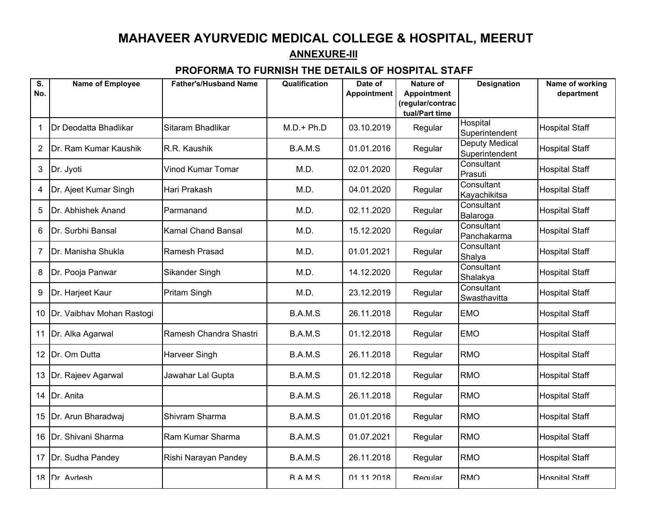## **MAHAVEER AYURVEDIC MEDICAL COLLEGE & HOSPITAL, MEERUTANNEXURE-III**

## **PROFORMA TO FURNISH THE DETAILS OF HOSPITAL STAFF**

| $\overline{\mathbf{s}}$ . | <b>Name of Employee</b>   | <b>Father's/Husband Name</b> | Qualification | Date of            | <b>Nature of</b>                       | <b>Designation</b>               | Name of working       |
|---------------------------|---------------------------|------------------------------|---------------|--------------------|----------------------------------------|----------------------------------|-----------------------|
| No.                       |                           |                              |               | <b>Appointment</b> | <b>Appointment</b><br>(regular/contrac |                                  | department            |
|                           |                           |                              |               |                    | tual/Part time                         |                                  |                       |
| 1                         | Dr Deodatta Bhadlikar     | Sitaram Bhadlikar            | $M.D.+Ph.D$   | 03.10.2019         | Regular                                | Hospital<br>Superintendent       | <b>Hospital Staff</b> |
| 2                         | Dr. Ram Kumar Kaushik     | R.R. Kaushik                 | B.A.M.S       | 01.01.2016         | Regular                                | Deputy Medical<br>Superintendent | <b>Hospital Staff</b> |
| 3                         | Dr. Jyoti                 | Vinod Kumar Tomar            | M.D.          | 02.01.2020         | Regular                                | Consultant<br>Prasuti            | <b>Hospital Staff</b> |
| 4                         | Dr. Ajeet Kumar Singh     | Hari Prakash                 | M.D.          | 04.01.2020         | Regular                                | Consultant<br>Kayachikitsa       | <b>Hospital Staff</b> |
| 5                         | Dr. Abhishek Anand        | Parmanand                    | M.D.          | 02.11.2020         | Regular                                | Consultant<br>Balaroga           | <b>Hospital Staff</b> |
| 6                         | Dr. Surbhi Bansal         | <b>Kamal Chand Bansal</b>    | M.D.          | 15.12.2020         | Regular                                | Consultant<br>Panchakarma        | <b>Hospital Staff</b> |
| 7                         | Dr. Manisha Shukla        | Ramesh Prasad                | M.D.          | 01.01.2021         | Regular                                | Consultant<br>Shalya             | <b>Hospital Staff</b> |
| 8                         | Dr. Pooja Panwar          | Sikander Singh               | M.D.          | 14.12.2020         | Regular                                | Consultant<br>Shalakya           | <b>Hospital Staff</b> |
| 9                         | Dr. Harjeet Kaur          | <b>Pritam Singh</b>          | M.D.          | 23.12.2019         | Regular                                | Consultant<br>Swasthavitta       | <b>Hospital Staff</b> |
| 10                        | Dr. Vaibhav Mohan Rastogi |                              | B.A.M.S       | 26.11.2018         | Regular                                | <b>EMO</b>                       | <b>Hospital Staff</b> |
| 11                        | Dr. Alka Agarwal          | Ramesh Chandra Shastri       | B.A.M.S       | 01.12.2018         | Regular                                | <b>EMO</b>                       | <b>Hospital Staff</b> |
| 12                        | Dr. Om Dutta              | <b>Harveer Singh</b>         | B.A.M.S       | 26.11.2018         | Regular                                | <b>RMO</b>                       | <b>Hospital Staff</b> |
| 13                        | Dr. Rajeev Agarwal        | Jawahar Lal Gupta            | B.A.M.S       | 01.12.2018         | Regular                                | <b>RMO</b>                       | <b>Hospital Staff</b> |
| 14                        | Dr. Anita                 |                              | B.A.M.S       | 26.11.2018         | Regular                                | <b>RMO</b>                       | <b>Hospital Staff</b> |
|                           | 15 Dr. Arun Bharadwaj     | Shivram Sharma               | B.A.M.S       | 01.01.2016         | Regular                                | <b>RMO</b>                       | <b>Hospital Staff</b> |
| 16                        | Dr. Shivani Sharma        | Ram Kumar Sharma             | B.A.M.S       | 01.07.2021         | Regular                                | <b>RMO</b>                       | <b>Hospital Staff</b> |
| 17                        | Dr. Sudha Pandey          | Rishi Narayan Pandey         | B.A.M.S       | 26.11.2018         | Regular                                | <b>RMO</b>                       | <b>Hospital Staff</b> |
|                           | 18 IDr Avdesh             |                              | <b>RAMS</b>   | 01 11 2018         | Regular                                | <b>RMO</b>                       | <b>Hospital Staff</b> |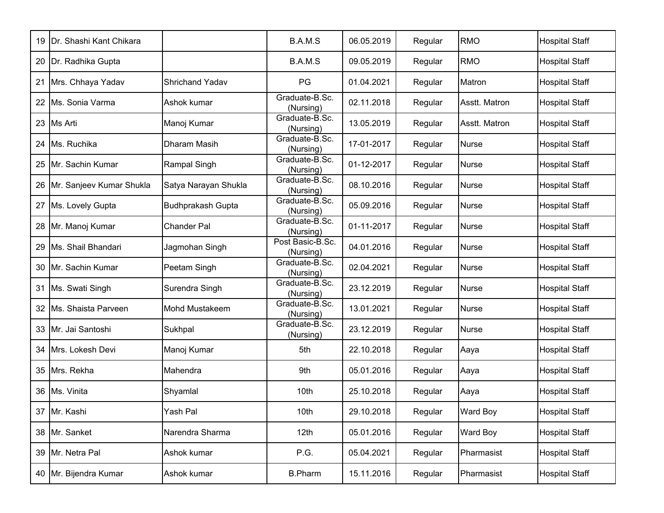| 19 | Dr. Shashi Kant Chikara  |                          | B.A.M.S                       | 06.05.2019 | Regular | <b>RMO</b>    | <b>Hospital Staff</b> |
|----|--------------------------|--------------------------|-------------------------------|------------|---------|---------------|-----------------------|
| 20 | Dr. Radhika Gupta        |                          | B.A.M.S                       | 09.05.2019 | Regular | <b>RMO</b>    | <b>Hospital Staff</b> |
| 21 | Mrs. Chhaya Yadav        | <b>Shrichand Yadav</b>   | PG                            | 01.04.2021 | Regular | Matron        | <b>Hospital Staff</b> |
| 22 | Ms. Sonia Varma          | Ashok kumar              | Graduate-B.Sc.<br>(Nursing)   | 02.11.2018 | Regular | Asstt. Matron | <b>Hospital Staff</b> |
| 23 | <b>Ms Arti</b>           | Manoj Kumar              | Graduate-B.Sc.<br>(Nursing)   | 13.05.2019 | Regular | Asstt. Matron | <b>Hospital Staff</b> |
| 24 | Ms. Ruchika              | Dharam Masih             | Graduate-B.Sc.<br>(Nursing)   | 17-01-2017 | Regular | <b>Nurse</b>  | <b>Hospital Staff</b> |
| 25 | Mr. Sachin Kumar         | Rampal Singh             | Graduate-B.Sc.<br>(Nursing)   | 01-12-2017 | Regular | <b>Nurse</b>  | <b>Hospital Staff</b> |
| 26 | Mr. Sanjeev Kumar Shukla | Satya Narayan Shukla     | Graduate-B.Sc.<br>(Nursing)   | 08.10.2016 | Regular | <b>Nurse</b>  | <b>Hospital Staff</b> |
| 27 | Ms. Lovely Gupta         | <b>Budhprakash Gupta</b> | Graduate-B.Sc.<br>(Nursing)   | 05.09.2016 | Regular | <b>Nurse</b>  | <b>Hospital Staff</b> |
| 28 | Mr. Manoj Kumar          | <b>Chander Pal</b>       | Graduate-B.Sc.<br>(Nursing)   | 01-11-2017 | Regular | <b>Nurse</b>  | <b>Hospital Staff</b> |
| 29 | Ms. Shail Bhandari       | Jagmohan Singh           | Post Basic-B.Sc.<br>(Nursing) | 04.01.2016 | Regular | <b>Nurse</b>  | <b>Hospital Staff</b> |
| 30 | Mr. Sachin Kumar         | Peetam Singh             | Graduate-B.Sc.<br>(Nursing)   | 02.04.2021 | Regular | <b>Nurse</b>  | <b>Hospital Staff</b> |
| 31 | Ms. Swati Singh          | Surendra Singh           | Graduate-B.Sc.<br>(Nursing)   | 23.12.2019 | Regular | <b>Nurse</b>  | <b>Hospital Staff</b> |
| 32 | Ms. Shaista Parveen      | <b>Mohd Mustakeem</b>    | Graduate-B.Sc.<br>(Nursing)   | 13.01.2021 | Regular | <b>Nurse</b>  | <b>Hospital Staff</b> |
| 33 | Mr. Jai Santoshi         | Sukhpal                  | Graduate-B.Sc.<br>(Nursing)   | 23.12.2019 | Regular | <b>Nurse</b>  | <b>Hospital Staff</b> |
| 34 | Mrs. Lokesh Devi         | Manoj Kumar              | 5th                           | 22.10.2018 | Regular | Aaya          | <b>Hospital Staff</b> |
| 35 | Mrs. Rekha               | Mahendra                 | 9th                           | 05.01.2016 | Regular | Aaya          | <b>Hospital Staff</b> |
| 36 | Ms. Vinita               | Shyamlal                 | 10th                          | 25.10.2018 | Regular | Aaya          | <b>Hospital Staff</b> |
|    | 37 Mr. Kashi             | Yash Pal                 | 10th                          | 29.10.2018 | Regular | Ward Boy      | <b>Hospital Staff</b> |
|    | 38 Mr. Sanket            | Narendra Sharma          | 12 <sub>th</sub>              | 05.01.2016 | Regular | Ward Boy      | <b>Hospital Staff</b> |
| 39 | Mr. Netra Pal            | Ashok kumar              | P.G.                          | 05.04.2021 | Regular | Pharmasist    | <b>Hospital Staff</b> |
|    | 40 Mr. Bijendra Kumar    | Ashok kumar              | <b>B.Pharm</b>                | 15.11.2016 | Regular | Pharmasist    | <b>Hospital Staff</b> |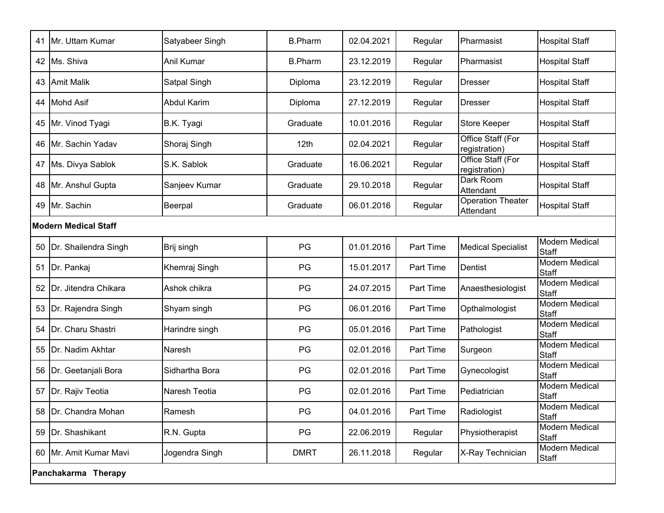| 41 | Mr. Uttam Kumar             | Satyabeer Singh    | <b>B.Pharm</b> | 02.04.2021 | Regular   | Pharmasist                            | <b>Hospital Staff</b>                 |  |  |
|----|-----------------------------|--------------------|----------------|------------|-----------|---------------------------------------|---------------------------------------|--|--|
| 42 | Ms. Shiva                   | Anil Kumar         | <b>B.Pharm</b> | 23.12.2019 | Regular   | Pharmasist                            | <b>Hospital Staff</b>                 |  |  |
| 43 | <b>Amit Malik</b>           | Satpal Singh       | Diploma        | 23.12.2019 | Regular   | Dresser                               | <b>Hospital Staff</b>                 |  |  |
| 44 | <b>Mohd Asif</b>            | <b>Abdul Karim</b> | Diploma        | 27.12.2019 | Regular   | Dresser                               | <b>Hospital Staff</b>                 |  |  |
| 45 | Mr. Vinod Tyagi             | B.K. Tyagi         | Graduate       | 10.01.2016 | Regular   | Store Keeper                          | <b>Hospital Staff</b>                 |  |  |
| 46 | <b>IMr. Sachin Yadav</b>    | Shoraj Singh       | 12th           | 02.04.2021 | Regular   | Office Staff (For<br>registration)    | <b>Hospital Staff</b>                 |  |  |
| 47 | Ms. Divya Sablok            | S.K. Sablok        | Graduate       | 16.06.2021 | Regular   | Office Staff (For<br>registration)    | <b>Hospital Staff</b>                 |  |  |
| 48 | Mr. Anshul Gupta            | Sanjeev Kumar      | Graduate       | 29.10.2018 | Regular   | Dark Room<br>Attendant                | <b>Hospital Staff</b>                 |  |  |
| 49 | Mr. Sachin                  | Beerpal            | Graduate       | 06.01.2016 | Regular   | <b>Operation Theater</b><br>Attendant | <b>Hospital Staff</b>                 |  |  |
|    | <b>Modern Medical Staff</b> |                    |                |            |           |                                       |                                       |  |  |
| 50 | Dr. Shailendra Singh        | Brij singh         | PG             | 01.01.2016 | Part Time | <b>Medical Specialist</b>             | <b>Modern Medical</b><br>Staff        |  |  |
| 51 | Dr. Pankaj                  | Khemraj Singh      | PG             | 15.01.2017 | Part Time | Dentist                               | <b>Modern Medical</b><br>Staff        |  |  |
| 52 | Dr. Jitendra Chikara        | Ashok chikra       | PG             | 24.07.2015 | Part Time | Anaesthesiologist                     | <b>Modern Medical</b><br>Staff        |  |  |
| 53 | Dr. Rajendra Singh          | Shyam singh        | PG             | 06.01.2016 | Part Time | Opthalmologist                        | <b>Modern Medical</b><br>Staff        |  |  |
| 54 | Dr. Charu Shastri           | Harindre singh     | PG             | 05.01.2016 | Part Time | Pathologist                           | <b>Modern Medical</b><br><b>Staff</b> |  |  |
| 55 | Dr. Nadim Akhtar            | Naresh             | PG             | 02.01.2016 | Part Time | Surgeon                               | <b>Modern Medical</b><br><b>Staff</b> |  |  |
| 56 | Dr. Geetanjali Bora         | Sidhartha Bora     | PG             | 02.01.2016 | Part Time | Gynecologist                          | <b>Modern Medical</b><br>Staff        |  |  |
| 57 | Dr. Rajiv Teotia            | Naresh Teotia      | PG             | 02.01.2016 | Part Time | Pediatrician                          | Modern Medical<br>Staff               |  |  |
| 58 | Dr. Chandra Mohan           | Ramesh             | PG             | 04.01.2016 | Part Time | Radiologist                           | <b>Modern Medical</b><br><b>Staff</b> |  |  |
| 59 | Dr. Shashikant              | R.N. Gupta         | PG             | 22.06.2019 | Regular   | Physiotherapist                       | <b>Modern Medical</b><br>Staff        |  |  |
|    | 60 Mr. Amit Kumar Mavi      | Jogendra Singh     | <b>DMRT</b>    | 26.11.2018 | Regular   | X-Ray Technician                      | Modern Medical<br><b>Staff</b>        |  |  |
|    | Panchakarma Therapy         |                    |                |            |           |                                       |                                       |  |  |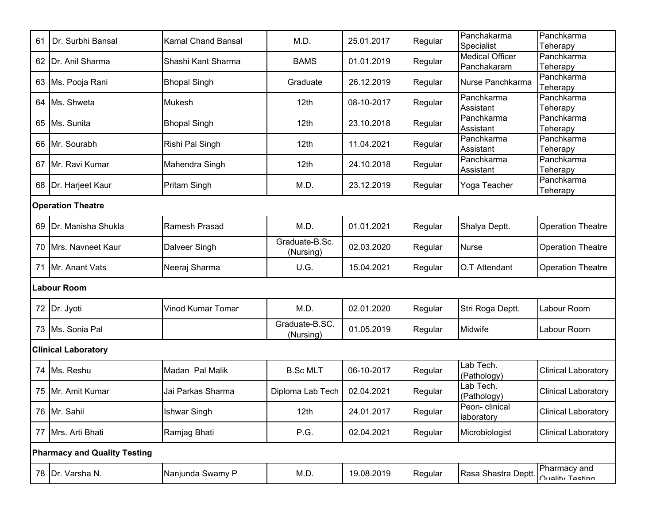| 61                                  | Dr. Surbhi Bansal          | <b>Kamal Chand Bansal</b> | M.D.                        | 25.01.2017 | Regular | Panchakarma<br>Specialist   | Panchkarma<br>Teherapy          |  |  |  |
|-------------------------------------|----------------------------|---------------------------|-----------------------------|------------|---------|-----------------------------|---------------------------------|--|--|--|
| 62                                  | Dr. Anil Sharma            | Shashi Kant Sharma        | <b>BAMS</b>                 | 01.01.2019 | Regular | <b>Medical Officer</b>      | Panchkarma                      |  |  |  |
|                                     |                            |                           |                             |            |         | Panchakaram                 | Teherapy<br>Panchkarma          |  |  |  |
| 63                                  | Ms. Pooja Rani             | <b>Bhopal Singh</b>       | Graduate                    | 26.12.2019 | Regular | Nurse Panchkarma            | Teherapy                        |  |  |  |
| 64                                  | Ms. Shweta                 | <b>Mukesh</b>             | 12th                        | 08-10-2017 | Regular | Panchkarma<br>Assistant     | Panchkarma<br>Teherapy          |  |  |  |
| 65                                  | Ms. Sunita                 | <b>Bhopal Singh</b>       | 12th                        | 23.10.2018 | Regular | Panchkarma<br>Assistant     | Panchkarma<br>Teherapy          |  |  |  |
| 66                                  | Mr. Sourabh                | Rishi Pal Singh           | 12th                        | 11.04.2021 | Regular | Panchkarma<br>Assistant     | Panchkarma<br>Teherapy          |  |  |  |
| 67                                  | Mr. Ravi Kumar             | Mahendra Singh            | 12th                        | 24.10.2018 | Regular | Panchkarma<br>Assistant     | Panchkarma<br>Teherapy          |  |  |  |
| 68                                  | Dr. Harjeet Kaur           | Pritam Singh              | M.D.                        | 23.12.2019 | Regular | Yoga Teacher                | Panchkarma<br>Teherapy          |  |  |  |
|                                     | <b>Operation Theatre</b>   |                           |                             |            |         |                             |                                 |  |  |  |
| 69                                  | Dr. Manisha Shukla         | Ramesh Prasad             | M.D.                        | 01.01.2021 | Regular | Shalya Deptt.               | <b>Operation Theatre</b>        |  |  |  |
| 70                                  | <b>IMrs. Navneet Kaur</b>  | Dalveer Singh             | Graduate-B.Sc.<br>(Nursing) | 02.03.2020 | Regular | <b>Nurse</b>                | <b>Operation Theatre</b>        |  |  |  |
| 71                                  | Mr. Anant Vats             | Neeraj Sharma             | U.G.                        | 15.04.2021 | Regular | O.T Attendant               | <b>Operation Theatre</b>        |  |  |  |
|                                     | Labour Room                |                           |                             |            |         |                             |                                 |  |  |  |
|                                     | 72   Dr. Jyoti             | Vinod Kumar Tomar         | M.D.                        | 02.01.2020 | Regular | Stri Roga Deptt.            | Labour Room                     |  |  |  |
|                                     | 73 Ms. Sonia Pal           |                           | Graduate-B.SC.<br>(Nursing) | 01.05.2019 | Regular | Midwife                     | Labour Room                     |  |  |  |
|                                     | <b>Clinical Laboratory</b> |                           |                             |            |         |                             |                                 |  |  |  |
| 74                                  | Ms. Reshu                  | Madan Pal Malik           | <b>B.Sc MLT</b>             | 06-10-2017 | Regular | Lab Tech.<br>(Pathology)    | <b>Clinical Laboratory</b>      |  |  |  |
| 75                                  | Mr. Amit Kumar             | Jai Parkas Sharma         | Diploma Lab Tech            | 02.04.2021 | Regular | Lab Tech.<br>(Pathology)    | <b>Clinical Laboratory</b>      |  |  |  |
|                                     | 76 Mr. Sahil               | <b>Ishwar Singh</b>       | 12th                        | 24.01.2017 | Regular | Peon-clinical<br>laboratory | <b>Clinical Laboratory</b>      |  |  |  |
|                                     | 77 Mrs. Arti Bhati         | Ramjag Bhati              | P.G.                        | 02.04.2021 | Regular | Microbiologist              | <b>Clinical Laboratory</b>      |  |  |  |
| <b>Pharmacy and Quality Testing</b> |                            |                           |                             |            |         |                             |                                 |  |  |  |
|                                     | 78 Dr. Varsha N.           | Nanjunda Swamy P          | M.D.                        | 19.08.2019 | Regular | Rasa Shastra Deptt.         | Pharmacy and<br>Ouality Testing |  |  |  |